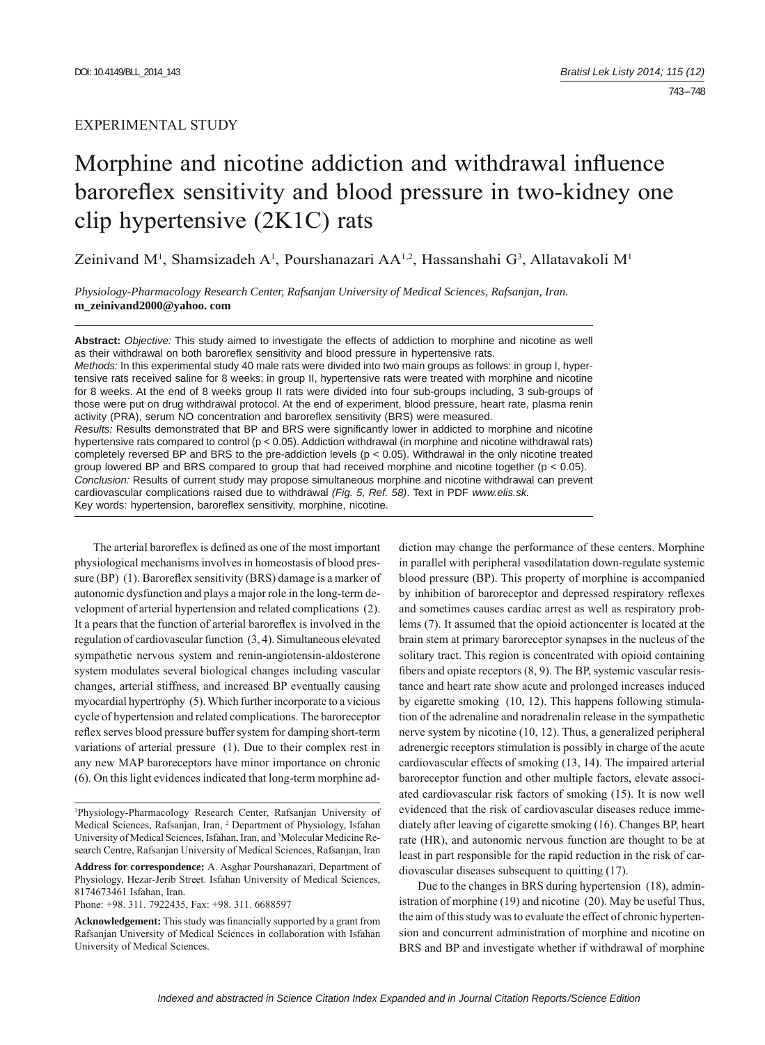# EXPERIMENTAL STUDY

# Morphine and nicotine addiction and withdrawal influence baroreflex sensitivity and blood pressure in two-kidney one clip hypertensive (2K1C) rats

Zeinivand M<sup>1</sup>, Shamsizadeh A<sup>1</sup>, Pourshanazari AA<sup>1,2</sup>, Hassanshahi G<sup>3</sup>, Allatavakoli M<sup>1</sup>

*Physiology-Pharmacology Research Center, Rafsanjan University of Medical Sciences, Rafsanjan, Iran.*  **m\_zeinivand2000@yahoo. com**

**Abstract:** *Objective:* This study aimed to investigate the effects of addiction to morphine and nicotine as well as their withdrawal on both baroreflex sensitivity and blood pressure in hypertensive rats. *Methods:* In this experimental study 40 male rats were divided into two main groups as follows: in group I, hypertensive rats received saline for 8 weeks; in group II, hypertensive rats were treated with morphine and nicotine for 8 weeks. At the end of 8 weeks group II rats were divided into four sub-groups including, 3 sub-groups of

those were put on drug withdrawal protocol. At the end of experiment, blood pressure, heart rate, plasma renin activity (PRA), serum NO concentration and baroreflex sensitivity (BRS) were measured. *Results:* Results demonstrated that BP and BRS were significantly lower in addicted to morphine and nicotine hypertensive rats compared to control (p < 0.05). Addiction withdrawal (in morphine and nicotine withdrawal rats) completely reversed BP and BRS to the pre-addiction levels (p < 0.05). Withdrawal in the only nicotine treated group lowered BP and BRS compared to group that had received morphine and nicotine together (p < 0.05). *Conclusion:* Results of current study may propose simultaneous morphine and nicotine withdrawal can prevent cardiovascular complications raised due to withdrawal *(Fig. 5, Ref. 58)*. Text in PDF *www.elis.sk.*  Key words: hypertension, baroreflex sensitivity, morphine, nicotine.

The arterial baroreflex is defined as one of the most important physiological mechanisms involves in homeostasis of blood pressure (BP)  $(1)$ . Baroreflex sensitivity (BRS) damage is a marker of autonomic dysfunction and plays a major role in the long-term development of arterial hypertension and related complications (2). It a pears that the function of arterial baroreflex is involved in the regulation of cardiovascular function (3, 4). Simultaneous elevated sympathetic nervous system and renin-angiotensin-aldosterone system modulates several biological changes including vascular changes, arterial stiffness, and increased BP eventually causing myocardial hypertrophy (5). Which further incorporate to a vicious cycle of hypertension and related complications. The baroreceptor reflex serves blood pressure buffer system for damping short-term variations of arterial pressure (1). Due to their complex rest in any new MAP baroreceptors have minor importance on chronic (6). On this light evidences indicated that long-term morphine ad-

**Address for correspondence:** A. Asghar Pourshanazari, Department of Physiology, Hezar-Jerib Street. Isfahan University of Medical Sciences, 8174673461 Isfahan, Iran.

Phone: +98. 311. 7922435, Fax: +98. 311. 6688597

diction may change the performance of these centers. Morphine in parallel with peripheral vasodilatation down-regulate systemic blood pressure (BP). This property of morphine is accompanied by inhibition of baroreceptor and depressed respiratory reflexes and sometimes causes cardiac arrest as well as respiratory problems (7). It assumed that the opioid actioncenter is located at the brain stem at primary baroreceptor synapses in the nucleus of the solitary tract. This region is concentrated with opioid containing fibers and opiate receptors  $(8, 9)$ . The BP, systemic vascular resistance and heart rate show acute and prolonged increases induced by cigarette smoking (10, 12). This happens following stimulation of the adrenaline and noradrenalin release in the sympathetic nerve system by nicotine (10, 12). Thus, a generalized peripheral adrenergic receptors stimulation is possibly in charge of the acute cardiovascular effects of smoking (13, 14). The impaired arterial baroreceptor function and other multiple factors, elevate associated cardiovascular risk factors of smoking (15). It is now well evidenced that the risk of cardiovascular diseases reduce immediately after leaving of cigarette smoking (16). Changes BP, heart rate (HR), and autonomic nervous function are thought to be at least in part responsible for the rapid reduction in the risk of cardiovascular diseases subsequent to quitting (17).

Due to the changes in BRS during hypertension (18), administration of morphine (19) and nicotine (20). May be useful Thus, the aim of this study was to evaluate the effect of chronic hypertension and concurrent administration of morphine and nicotine on BRS and BP and investigate whether if withdrawal of morphine

<sup>1</sup> Physiology-Pharmacology Research Center, Rafsanjan University of Medical Sciences, Rafsanjan, Iran, <sup>2</sup> Department of Physiology, Isfahan University of Medical Sciences, Isfahan, Iran, and <sup>3</sup>Molecular Medicine Research Centre, Rafsanjan University of Medical Sciences, Rafsanjan, Iran

Acknowledgement: This study was financially supported by a grant from Rafsanjan University of Medical Sciences in collaboration with Isfahan University of Medical Sciences.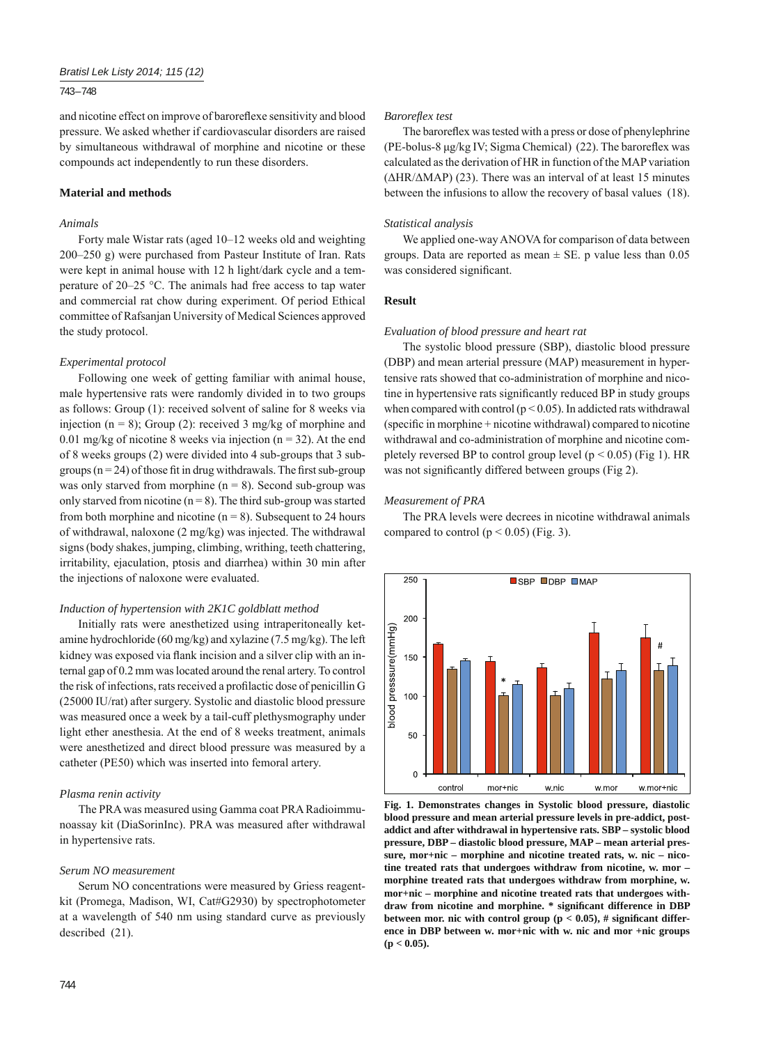## 743 – 748

and nicotine effect on improve of baroreflexe sensitivity and blood pressure. We asked whether if cardiovascular disorders are raised by simultaneous withdrawal of morphine and nicotine or these compounds act independently to run these disorders.

#### **Material and methods**

#### *Animals*

Forty male Wistar rats (aged 10–12 weeks old and weighting 200–250 g) were purchased from Pasteur Institute of Iran. Rats were kept in animal house with 12 h light/dark cycle and a temperature of 20–25 °C. The animals had free access to tap water and commercial rat chow during experiment. Of period Ethical committee of Rafsanjan University of Medical Sciences approved the study protocol.

#### *Experimental protocol*

Following one week of getting familiar with animal house, male hypertensive rats were randomly divided in to two groups as follows: Group (1): received solvent of saline for 8 weeks via injection ( $n = 8$ ); Group (2): received 3 mg/kg of morphine and 0.01 mg/kg of nicotine 8 weeks via injection  $(n = 32)$ . At the end of 8 weeks groups (2) were divided into 4 sub-groups that 3 subgroups  $(n = 24)$  of those fit in drug withdrawals. The first sub-group was only starved from morphine  $(n = 8)$ . Second sub-group was only starved from nicotine  $(n = 8)$ . The third sub-group was started from both morphine and nicotine  $(n = 8)$ . Subsequent to 24 hours of withdrawal, naloxone (2 mg/kg) was injected. The withdrawal signs (body shakes, jumping, climbing, writhing, teeth chattering, irritability, ejaculation, ptosis and diarrhea) within 30 min after the injections of naloxone were evaluated.

#### *Induction of hypertension with 2K1C goldblatt method*

Initially rats were anesthetized using intraperitoneally ketamine hydrochloride (60 mg/kg) and xylazine (7.5 mg/kg). The left kidney was exposed via flank incision and a silver clip with an internal gap of 0.2 mm was located around the renal artery. To control the risk of infections, rats received a profilactic dose of penicillin G (25000 IU/rat) after surgery. Systolic and diastolic blood pressure was measured once a week by a tail-cuff plethysmography under light ether anesthesia. At the end of 8 weeks treatment, animals were anesthetized and direct blood pressure was measured by a catheter (PE50) which was inserted into femoral artery.

#### *Plasma renin activity*

The PRA was measured using Gamma coat PRA Radioimmunoassay kit (DiaSorinInc). PRA was measured after withdrawal in hypertensive rats.

#### *Serum NO measurement*

Serum NO concentrations were measured by Griess reagentkit (Promega, Madison, WI, Cat#G2930) by spectrophotometer at a wavelength of 540 nm using standard curve as previously described (21).

#### *Barorefl ex test*

The baroreflex was tested with a press or dose of phenylephrine (PE-bolus-8  $\mu$ g/kg IV; Sigma Chemical) (22). The baroreflex was calculated as the derivation of HR in function of the MAP variation  $(\Delta HR/\Delta MAP)$  (23). There was an interval of at least 15 minutes between the infusions to allow the recovery of basal values (18).

#### *Statistical analysis*

We applied one-way ANOVA for comparison of data between groups. Data are reported as mean  $\pm$  SE, p value less than 0.05 was considered significant.

#### **Result**

## *Evaluation of blood pressure and heart rat*

The systolic blood pressure (SBP), diastolic blood pressure (DBP) and mean arterial pressure (MAP) measurement in hypertensive rats showed that co-administration of morphine and nicotine in hypertensive rats significantly reduced BP in study groups when compared with control ( $p < 0.05$ ). In addicted rats withdrawal  $(specific in morphine + nicotine with drawn) compared to nicotine$ withdrawal and co-administration of morphine and nicotine completely reversed BP to control group level ( $p < 0.05$ ) (Fig 1). HR was not significantly differed between groups (Fig 2).

#### *Measurement of PRA*

The PRA levels were decrees in nicotine withdrawal animals compared to control  $(p < 0.05)$  (Fig. 3).



**Fig. 1. Demonstrates changes in Systolic blood pressure, diastolic blood pressure and mean arterial pressure levels in pre-addict, postaddict and after withdrawal in hypertensive rats. SBP – systolic blood pressure, DBP – diastolic blood pressure, MAP – mean arterial pressure, mor+nic – morphine and nicotine treated rats, w. nic – nicotine treated rats that undergoes withdraw from nicotine, w. mor – morphine treated rats that undergoes withdraw from morphine, w. mor+nic – morphine and nicotine treated rats that undergoes with**draw from nicotine and morphine. \* significant difference in DBP between mor. nic with control group ( $p < 0.05$ ), # significant differ**ence in DBP between w. mor+nic with w. nic and mor +nic groups (p < 0.05).**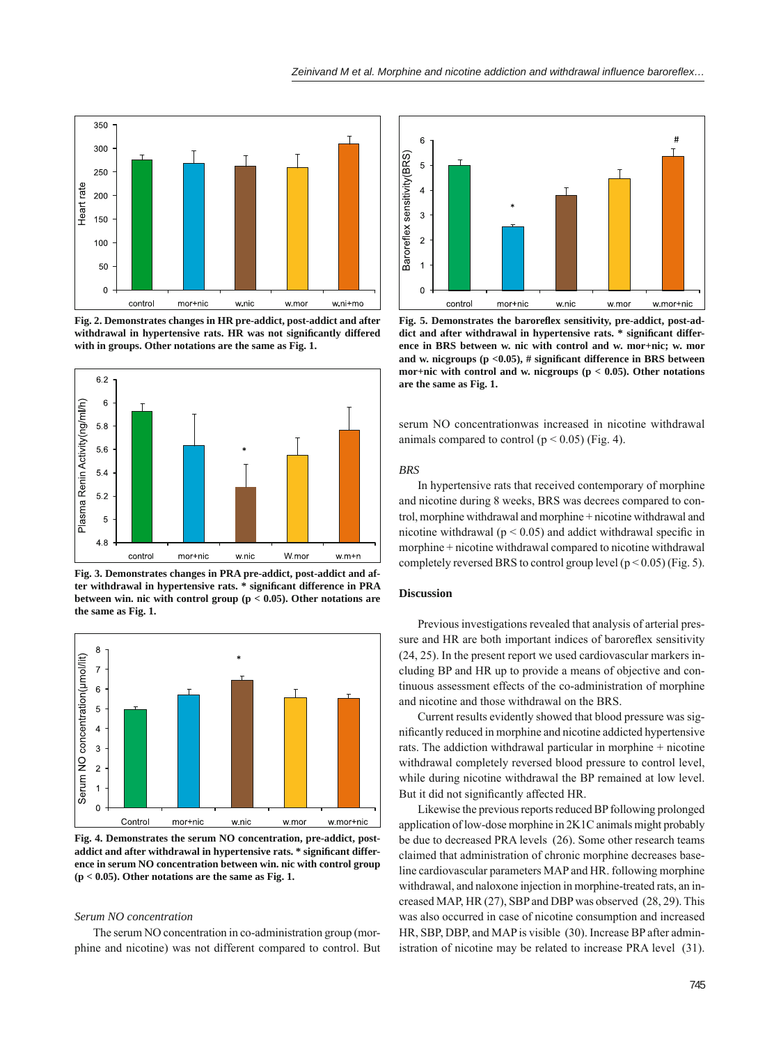

**Fig. 2. Demonstrates changes in HR pre-addict, post-addict and after**  withdrawal in hypertensive rats. HR was not significantly differed **with in groups. Other notations are the same as Fig. 1.**



**Fig. 3. Demonstrates changes in PRA pre-addict, post-addict and af**ter withdrawal in hypertensive rats. \* significant difference in PRA **between win. nic with control group (p < 0.05). Other notations are the same as Fig. 1.**



**Fig. 4. Demonstrates the serum NO concentration, pre-addict, post**addict and after withdrawal in hypertensive rats. \* significant differ**ence in serum NO concentration between win. nic with control group (p < 0.05). Other notations are the same as Fig. 1.**

## *Serum NO concentration*

The serum NO concentration in co-administration group (morphine and nicotine) was not different compared to control. But



Fig. 5. Demonstrates the baroreflex sensitivity, pre-addict, post-addict and after withdrawal in hypertensive rats. \* significant differ**ence in BRS between w. nic with control and w. mor+nic; w. mor**  and w. nicgroups ( $p \le 0.05$ ), # significant difference in BRS between **mor+nic with control and w. nicgroups (p < 0.05). Other notations are the same as Fig. 1.**

serum NO concentrationwas increased in nicotine withdrawal animals compared to control ( $p < 0.05$ ) (Fig. 4).

#### *BRS*

In hypertensive rats that received contemporary of morphine and nicotine during 8 weeks, BRS was decrees compared to control, morphine withdrawal and morphine + nicotine withdrawal and nicotine withdrawal ( $p < 0.05$ ) and addict withdrawal specific in morphine + nicotine withdrawal compared to nicotine withdrawal completely reversed BRS to control group level ( $p < 0.05$ ) (Fig. 5).

## **Discussion**

Previous investigations revealed that analysis of arterial pressure and HR are both important indices of baroreflex sensitivity (24, 25). In the present report we used cardiovascular markers including BP and HR up to provide a means of objective and continuous assessment effects of the co-administration of morphine and nicotine and those withdrawal on the BRS.

Current results evidently showed that blood pressure was significantly reduced in morphine and nicotine addicted hypertensive rats. The addiction withdrawal particular in morphine + nicotine withdrawal completely reversed blood pressure to control level, while during nicotine withdrawal the BP remained at low level. But it did not significantly affected HR.

Likewise the previous reports reduced BP following prolonged application of low-dose morphine in 2K1C animals might probably be due to decreased PRA levels (26). Some other research teams claimed that administration of chronic morphine decreases baseline cardiovascular parameters MAP and HR. following morphine withdrawal, and naloxone injection in morphine-treated rats, an increased MAP, HR (27), SBP and DBP was observed (28, 29). This was also occurred in case of nicotine consumption and increased HR, SBP, DBP, and MAP is visible (30). Increase BP after administration of nicotine may be related to increase PRA level (31).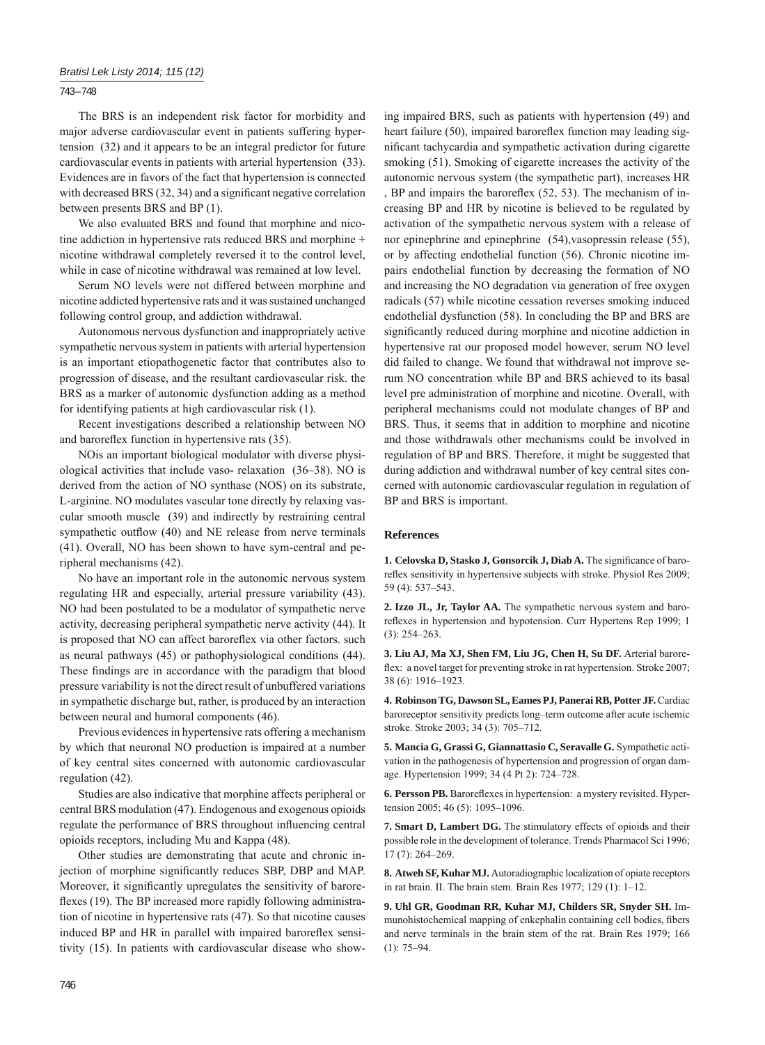743 – 748

The BRS is an independent risk factor for morbidity and major adverse cardiovascular event in patients suffering hypertension (32) and it appears to be an integral predictor for future cardiovascular events in patients with arterial hypertension (33). Evidences are in favors of the fact that hypertension is connected with decreased BRS (32, 34) and a significant negative correlation between presents BRS and BP (1).

We also evaluated BRS and found that morphine and nicotine addiction in hypertensive rats reduced BRS and morphine + nicotine withdrawal completely reversed it to the control level, while in case of nicotine withdrawal was remained at low level.

Serum NO levels were not differed between morphine and nicotine addicted hypertensive rats and it was sustained unchanged following control group, and addiction withdrawal.

Autonomous nervous dysfunction and inappropriately active sympathetic nervous system in patients with arterial hypertension is an important etiopathogenetic factor that contributes also to progression of disease, and the resultant cardiovascular risk. the BRS as a marker of autonomic dysfunction adding as a method for identifying patients at high cardiovascular risk (1).

Recent investigations described a relationship between NO and baroreflex function in hypertensive rats (35).

NOis an important biological modulator with diverse physiological activities that include vaso- relaxation (36–38). NO is derived from the action of NO synthase (NOS) on its substrate, L-arginine. NO modulates vascular tone directly by relaxing vascular smooth muscle (39) and indirectly by restraining central sympathetic outflow (40) and NE release from nerve terminals (41). Overall, NO has been shown to have sym-central and peripheral mechanisms (42).

No have an important role in the autonomic nervous system regulating HR and especially, arterial pressure variability (43). NO had been postulated to be a modulator of sympathetic nerve activity, decreasing peripheral sympathetic nerve activity (44). It is proposed that NO can affect baroreflex via other factors. such as neural pathways (45) or pathophysiological conditions (44). These findings are in accordance with the paradigm that blood pressure variability is not the direct result of unbuffered variations in sympathetic discharge but, rather, is produced by an interaction between neural and humoral components (46).

Previous evidences in hypertensive rats offering a mechanism by which that neuronal NO production is impaired at a number of key central sites concerned with autonomic cardiovascular regulation (42).

Studies are also indicative that morphine affects peripheral or central BRS modulation (47). Endogenous and exogenous opioids regulate the performance of BRS throughout influencing central opioids receptors, including Mu and Kappa (48).

Other studies are demonstrating that acute and chronic injection of morphine significantly reduces SBP, DBP and MAP. Moreover, it significantly upregulates the sensitivity of baroreflexes (19). The BP increased more rapidly following administration of nicotine in hypertensive rats (47). So that nicotine causes induced BP and HR in parallel with impaired baroreflex sensitivity (15). In patients with cardiovascular disease who show-

ing impaired BRS, such as patients with hypertension (49) and heart failure (50), impaired baroreflex function may leading significant tachycardia and sympathetic activation during cigarette smoking (51). Smoking of cigarette increases the activity of the autonomic nervous system (the sympathetic part), increases HR BP and impairs the baroreflex  $(52, 53)$ . The mechanism of increasing BP and HR by nicotine is believed to be regulated by activation of the sympathetic nervous system with a release of nor epinephrine and epinephrine (54),vasopressin release (55), or by affecting endothelial function (56). Chronic nicotine impairs endothelial function by decreasing the formation of NO and increasing the NO degradation via generation of free oxygen radicals (57) while nicotine cessation reverses smoking induced endothelial dysfunction (58). In concluding the BP and BRS are significantly reduced during morphine and nicotine addiction in hypertensive rat our proposed model however, serum NO level did failed to change. We found that withdrawal not improve serum NO concentration while BP and BRS achieved to its basal level pre administration of morphine and nicotine. Overall, with peripheral mechanisms could not modulate changes of BP and BRS. Thus, it seems that in addition to morphine and nicotine and those withdrawals other mechanisms could be involved in regulation of BP and BRS. Therefore, it might be suggested that during addiction and withdrawal number of key central sites concerned with autonomic cardiovascular regulation in regulation of BP and BRS is important.

#### **References**

1. Celovska D, Stasko J, Gonsorcik J, Diab A. The significance of baroreflex sensitivity in hypertensive subjects with stroke. Physiol Res 2009; 59 (4): 537–543.

**2. Izzo JL, Jr, Taylor AA.** The sympathetic nervous system and baroreflexes in hypertension and hypotension. Curr Hypertens Rep 1999; 1 (3): 254–263.

**3. Liu AJ, Ma XJ, Shen FM, Liu JG, Chen H, Su DF.** Arterial baroreflex: a novel target for preventing stroke in rat hypertension. Stroke 2007; 38 (6): 1916–1923.

**4. Robinson TG, Dawson SL, Eames PJ, Panerai RB, Potter JF.** Cardiac baroreceptor sensitivity predicts long–term outcome after acute ischemic stroke. Stroke 2003; 34 (3): 705–712.

**5. Mancia G, Grassi G, Giannattasio C, Seravalle G.** Sympathetic activation in the pathogenesis of hypertension and progression of organ damage. Hypertension 1999; 34 (4 Pt 2): 724–728.

6. Persson PB. Baroreflexes in hypertension: a mystery revisited. Hypertension 2005; 46 (5): 1095–1096.

**7. Smart D, Lambert DG.** The stimulatory effects of opioids and their possible role in the development of tolerance. Trends Pharmacol Sci 1996; 17 (7): 264–269.

**8. Atweh SF, Kuhar MJ.** Autoradiographic localization of opiate receptors in rat brain. II. The brain stem. Brain Res 1977; 129 (1): 1–12.

**9. Uhl GR, Goodman RR, Kuhar MJ, Childers SR, Snyder SH.** Immunohistochemical mapping of enkephalin containing cell bodies, fibers and nerve terminals in the brain stem of the rat. Brain Res 1979; 166 (1): 75–94.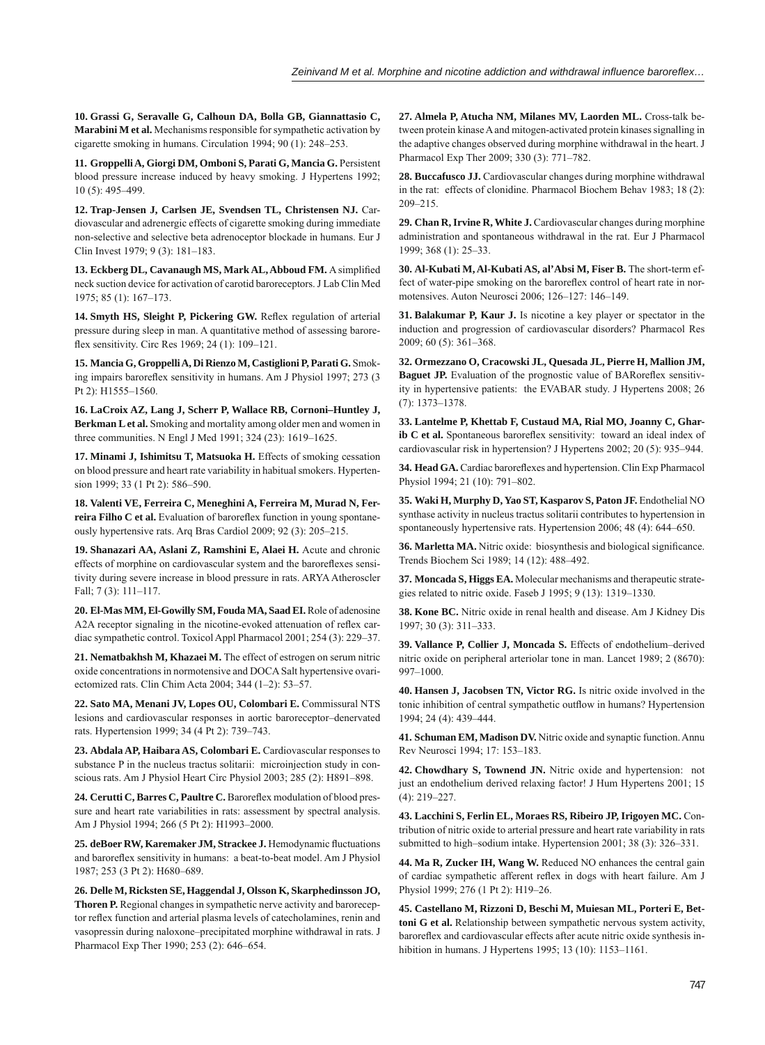**10. Grassi G, Seravalle G, Calhoun DA, Bolla GB, Giannattasio C, Marabini M et al.** Mechanisms responsible for sympathetic activation by cigarette smoking in humans. Circulation 1994; 90 (1): 248–253.

**11. Groppelli A, Giorgi DM, Omboni S, Parati G, Mancia G.** Persistent blood pressure increase induced by heavy smoking. J Hypertens 1992; 10 (5): 495–499.

**12. Trap-Jensen J, Carlsen JE, Svendsen TL, Christensen NJ.** Cardiovascular and adrenergic effects of cigarette smoking during immediate non-selective and selective beta adrenoceptor blockade in humans. Eur J Clin Invest 1979; 9 (3): 181–183.

13. Eckberg DL, Cavanaugh MS, Mark AL, Abboud FM. A simplified neck suction device for activation of carotid baroreceptors. J Lab Clin Med 1975; 85 (1): 167–173.

14. Smyth HS, Sleight P, Pickering GW. Reflex regulation of arterial pressure during sleep in man. A quantitative method of assessing baroreflex sensitivity. Circ Res 1969; 24 (1): 109-121.

**15. Mancia G, Groppelli A, Di Rienzo M, Castiglioni P, Parati G.** Smoking impairs baroreflex sensitivity in humans. Am J Physiol 1997; 273 (3 Pt 2): H1555–1560.

**16. LaCroix AZ, Lang J, Scherr P, Wallace RB, Cornoni–Huntley J, Berkman L et al.** Smoking and mortality among older men and women in three communities. N Engl J Med 1991; 324 (23): 1619–1625.

**17. Minami J, Ishimitsu T, Matsuoka H.** Effects of smoking cessation on blood pressure and heart rate variability in habitual smokers. Hypertension 1999; 33 (1 Pt 2): 586–590.

**18. Valenti VE, Ferreira C, Meneghini A, Ferreira M, Murad N, Fer**reira Filho C et al. Evaluation of baroreflex function in young spontaneously hypertensive rats. Arq Bras Cardiol 2009; 92 (3): 205–215.

**19. Shanazari AA, Aslani Z, Ramshini E, Alaei H.** Acute and chronic effects of morphine on cardiovascular system and the baroreflexes sensitivity during severe increase in blood pressure in rats. ARYA Atheroscler Fall; 7 (3): 111–117.

**20. El-Mas MM, El-Gowilly SM, Fouda MA, Saad EI.** Role of adenosine A2A receptor signaling in the nicotine-evoked attenuation of reflex cardiac sympathetic control. Toxicol Appl Pharmacol 2001; 254 (3): 229–37.

**21. Nematbakhsh M, Khazaei M.** The effect of estrogen on serum nitric oxide concentrations in normotensive and DOCA Salt hypertensive ovariectomized rats. Clin Chim Acta 2004; 344 (1–2): 53–57.

**22. Sato MA, Menani JV, Lopes OU, Colombari E.** Commissural NTS lesions and cardiovascular responses in aortic baroreceptor–denervated rats. Hypertension 1999; 34 (4 Pt 2): 739–743.

23. Abdala AP, Haibara AS, Colombari E. Cardiovascular responses to substance P in the nucleus tractus solitarii: microinjection study in conscious rats. Am J Physiol Heart Circ Physiol 2003; 285 (2): H891–898.

24. Cerutti C, Barres C, Paultre C. Baroreflex modulation of blood pressure and heart rate variabilities in rats: assessment by spectral analysis. Am J Physiol 1994; 266 (5 Pt 2): H1993–2000.

25. deBoer RW, Karemaker JM, Strackee J. Hemodynamic fluctuations and baroreflex sensitivity in humans: a beat-to-beat model. Am J Physiol 1987; 253 (3 Pt 2): H680–689.

**26. Delle M, Ricksten SE, Haggendal J, Olsson K, Skarphedinsson JO, Thoren P.** Regional changes in sympathetic nerve activity and baroreceptor reflex function and arterial plasma levels of catecholamines, renin and vasopressin during naloxone–precipitated morphine withdrawal in rats. J Pharmacol Exp Ther 1990; 253 (2): 646–654.

**27. Almela P, Atucha NM, Milanes MV, Laorden ML.** Cross-talk between protein kinase A and mitogen-activated protein kinases signalling in the adaptive changes observed during morphine withdrawal in the heart. J Pharmacol Exp Ther 2009; 330 (3): 771–782.

**28. Buccafusco JJ.** Cardiovascular changes during morphine withdrawal in the rat: effects of clonidine. Pharmacol Biochem Behav 1983; 18 (2): 209–215.

**29. Chan R, Irvine R, White J.** Cardiovascular changes during morphine administration and spontaneous withdrawal in the rat. Eur J Pharmacol 1999; 368 (1): 25–33.

**30. Al-Kubati M, Al-Kubati AS, al'Absi M, Fiser B.** The short-term effect of water-pipe smoking on the baroreflex control of heart rate in normotensives. Auton Neurosci 2006; 126–127: 146–149.

**31. Balakumar P, Kaur J.** Is nicotine a key player or spectator in the induction and progression of cardiovascular disorders? Pharmacol Res 2009; 60 (5): 361–368.

**32. Ormezzano O, Cracowski JL, Quesada JL, Pierre H, Mallion JM, Baguet JP.** Evaluation of the prognostic value of BARoreflex sensitivity in hypertensive patients: the EVABAR study. J Hypertens 2008; 26 (7): 1373–1378.

**33. Lantelme P, Khettab F, Custaud MA, Rial MO, Joanny C, Gharib C et al.** Spontaneous baroreflex sensitivity: toward an ideal index of cardiovascular risk in hypertension? J Hypertens 2002; 20 (5): 935–944.

34. Head GA. Cardiac baroreflexes and hypertension. Clin Exp Pharmacol Physiol 1994; 21 (10): 791–802.

**35. Waki H, Murphy D, Yao ST, Kasparov S, Paton JF.** Endothelial NO synthase activity in nucleus tractus solitarii contributes to hypertension in spontaneously hypertensive rats. Hypertension 2006; 48 (4): 644–650.

36. Marletta MA. Nitric oxide: biosynthesis and biological significance. Trends Biochem Sci 1989; 14 (12): 488–492.

**37. Moncada S, Higgs EA.** Molecular mechanisms and therapeutic strategies related to nitric oxide. Faseb J 1995; 9 (13): 1319–1330.

**38. Kone BC.** Nitric oxide in renal health and disease. Am J Kidney Dis 1997; 30 (3): 311–333.

**39. Vallance P, Collier J, Moncada S.** Effects of endothelium–derived nitric oxide on peripheral arteriolar tone in man. Lancet 1989; 2 (8670): 997–1000.

**40. Hansen J, Jacobsen TN, Victor RG.** Is nitric oxide involved in the tonic inhibition of central sympathetic outflow in humans? Hypertension 1994; 24 (4): 439–444.

**41. Schuman EM, Madison DV.** Nitric oxide and synaptic function. Annu Rev Neurosci 1994; 17: 153–183.

**42. Chowdhary S, Townend JN.** Nitric oxide and hypertension: not just an endothelium derived relaxing factor! J Hum Hypertens 2001; 15 (4): 219–227.

**43. Lacchini S, Ferlin EL, Moraes RS, Ribeiro JP, Irigoyen MC.** Contribution of nitric oxide to arterial pressure and heart rate variability in rats submitted to high–sodium intake. Hypertension 2001; 38 (3): 326–331.

**44. Ma R, Zucker IH, Wang W.** Reduced NO enhances the central gain of cardiac sympathetic afferent reflex in dogs with heart failure. Am J Physiol 1999; 276 (1 Pt 2): H19–26.

**45. Castellano M, Rizzoni D, Beschi M, Muiesan ML, Porteri E, Bettoni G et al.** Relationship between sympathetic nervous system activity, baroreflex and cardiovascular effects after acute nitric oxide synthesis inhibition in humans. J Hypertens 1995; 13 (10): 1153–1161.